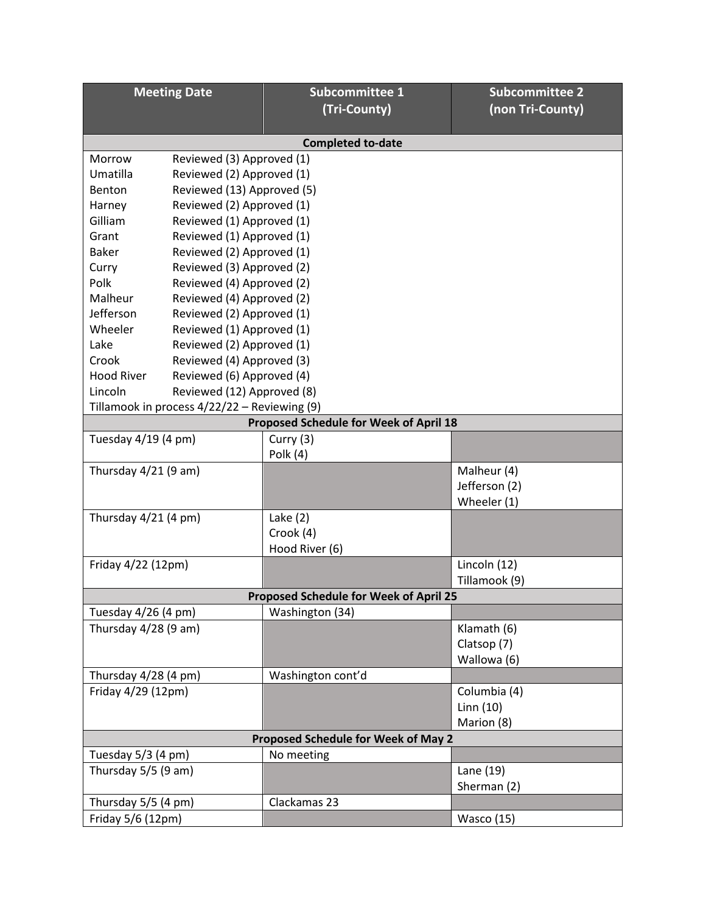| <b>Meeting Date</b>                            |                            | <b>Subcommittee 1</b> | <b>Subcommittee 2</b> |  |  |
|------------------------------------------------|----------------------------|-----------------------|-----------------------|--|--|
|                                                |                            | (Tri-County)          | (non Tri-County)      |  |  |
| <b>Completed to-date</b>                       |                            |                       |                       |  |  |
| Morrow                                         | Reviewed (3) Approved (1)  |                       |                       |  |  |
| Umatilla                                       | Reviewed (2) Approved (1)  |                       |                       |  |  |
| Benton                                         | Reviewed (13) Approved (5) |                       |                       |  |  |
| Harney                                         | Reviewed (2) Approved (1)  |                       |                       |  |  |
| Gilliam<br>Reviewed (1) Approved (1)           |                            |                       |                       |  |  |
| Grant<br>Reviewed (1) Approved (1)             |                            |                       |                       |  |  |
| <b>Baker</b>                                   | Reviewed (2) Approved (1)  |                       |                       |  |  |
| Curry                                          | Reviewed (3) Approved (2)  |                       |                       |  |  |
| Polk                                           | Reviewed (4) Approved (2)  |                       |                       |  |  |
| Malheur                                        | Reviewed (4) Approved (2)  |                       |                       |  |  |
| Jefferson                                      | Reviewed (2) Approved (1)  |                       |                       |  |  |
| Wheeler<br>Reviewed (1) Approved (1)           |                            |                       |                       |  |  |
| Lake                                           | Reviewed (2) Approved (1)  |                       |                       |  |  |
| Crook<br>Reviewed (4) Approved (3)             |                            |                       |                       |  |  |
| <b>Hood River</b><br>Reviewed (6) Approved (4) |                            |                       |                       |  |  |
| Lincoln                                        | Reviewed (12) Approved (8) |                       |                       |  |  |
| Tillamook in process 4/22/22 - Reviewing (9)   |                            |                       |                       |  |  |
| <b>Proposed Schedule for Week of April 18</b>  |                            |                       |                       |  |  |
| Tuesday 4/19 (4 pm)                            |                            | Curry (3)             |                       |  |  |
|                                                |                            | Polk (4)              |                       |  |  |
| Thursday $4/21$ (9 am)                         |                            |                       | Malheur (4)           |  |  |
|                                                |                            |                       | Jefferson (2)         |  |  |
|                                                |                            |                       | Wheeler (1)           |  |  |
| Thursday 4/21 (4 pm)                           |                            | Lake $(2)$            |                       |  |  |
|                                                |                            | Crook (4)             |                       |  |  |
|                                                |                            | Hood River (6)        |                       |  |  |
| Friday 4/22 (12pm)                             |                            |                       | Lincoln (12)          |  |  |
|                                                |                            |                       | Tillamook (9)         |  |  |
| <b>Proposed Schedule for Week of April 25</b>  |                            |                       |                       |  |  |
| Tuesday 4/26 (4 pm)                            |                            | Washington (34)       |                       |  |  |
| Thursday 4/28 (9 am)                           |                            |                       | Klamath (6)           |  |  |
|                                                |                            |                       | Clatsop (7)           |  |  |
|                                                |                            |                       | Wallowa (6)           |  |  |
| Thursday 4/28 (4 pm)                           |                            | Washington cont'd     |                       |  |  |
| Friday 4/29 (12pm)                             |                            |                       | Columbia (4)          |  |  |
|                                                |                            |                       | Linn $(10)$           |  |  |
|                                                |                            |                       | Marion (8)            |  |  |
| <b>Proposed Schedule for Week of May 2</b>     |                            |                       |                       |  |  |
| Tuesday 5/3 (4 pm)                             |                            | No meeting            |                       |  |  |
| Thursday 5/5 (9 am)                            |                            |                       | Lane (19)             |  |  |
|                                                |                            |                       | Sherman (2)           |  |  |
| Thursday 5/5 (4 pm)                            |                            | Clackamas 23          |                       |  |  |
| Friday 5/6 (12pm)                              |                            |                       | <b>Wasco</b> (15)     |  |  |